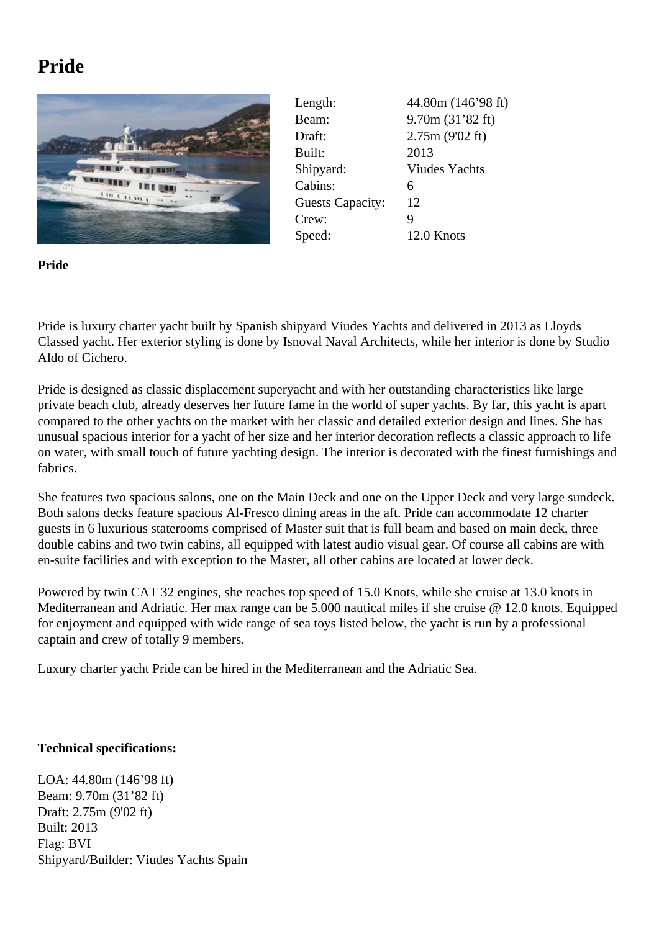## **Pride**



Length: 44.80m (146'98 ft) Beam: 9.70m (31'82 ft) Draft: 2.75m (9'02 ft) Built: 2013 Shipyard: Viudes Yachts Cabins: 6 Guests Capacity: 12 Crew: 9 Speed: 12.0 Knots

**Pride**

Pride is luxury charter yacht built by Spanish shipyard Viudes Yachts and delivered in 2013 as Lloyds Classed yacht. Her exterior styling is done by Isnoval Naval Architects, while her interior is done by Studio Aldo of Cichero.

Pride is designed as classic displacement superyacht and with her outstanding characteristics like large private beach club, already deserves her future fame in the world of super yachts. By far, this yacht is apart compared to the other yachts on the market with her classic and detailed exterior design and lines. She has unusual spacious interior for a yacht of her size and her interior decoration reflects a classic approach to life on water, with small touch of future yachting design. The interior is decorated with the finest furnishings and fabrics.

She features two spacious salons, one on the Main Deck and one on the Upper Deck and very large sundeck. Both salons decks feature spacious Al-Fresco dining areas in the aft. Pride can accommodate 12 charter guests in 6 luxurious staterooms comprised of Master suit that is full beam and based on main deck, three double cabins and two twin cabins, all equipped with latest audio visual gear. Of course all cabins are with en-suite facilities and with exception to the Master, all other cabins are located at lower deck.

Powered by twin CAT 32 engines, she reaches top speed of 15.0 Knots, while she cruise at 13.0 knots in Mediterranean and Adriatic. Her max range can be 5.000 nautical miles if she cruise @ 12.0 knots. Equipped for enjoyment and equipped with wide range of sea toys listed below, the yacht is run by a professional captain and crew of totally 9 members.

Luxury charter yacht Pride can be hired in the Mediterranean and the Adriatic Sea.

## **Technical specifications:**

LOA: 44.80m (146'98 ft) Beam: 9.70m (31'82 ft) Draft: 2.75m (9'02 ft) Built: 2013 Flag: BVI Shipyard/Builder: Viudes Yachts Spain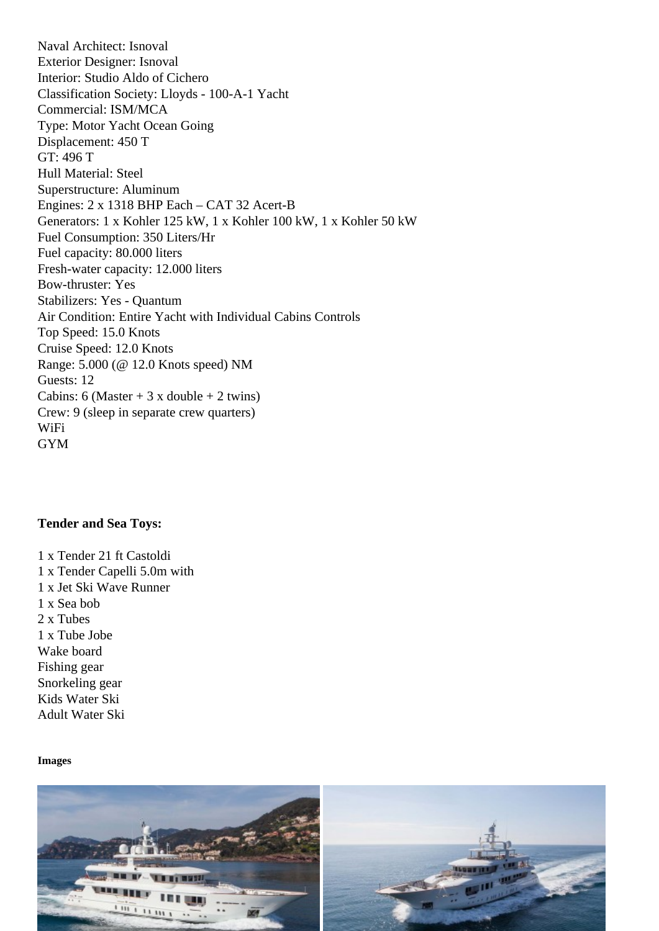Exterior Designer: Isnoval Interior: Studio Aldo of Cichero Classification Society: Lloyds - 100-A-1 Yacht Commercial: ISM/MCA Type: Motor Yacht Ocean Going Displacement: 450 T GT: 496 T Hull Material: Steel Superstructure: Aluminum Engines: 2 x 1318 BHP Each – CAT 32 Acert-B Generators: 1 x Kohler 125 kW, 1 x Kohler 100 kW, 1 x Kohler 50 kW Fuel Consumption: 350 Liters/Hr Fuel capacity: 80.000 liters Fresh-water capacity: 12.000 liters Bow-thruster: Yes Stabilizers: Yes - Quantum Air Condition: Entire Yacht with Individual Cabins Controls Top Speed: 15.0 Knots Cruise Speed: 12.0 Knots Range: 5.000 (@ 12.0 Knots speed) NM Guests: 12 Cabins: 6 (Master  $+3x$  double  $+2$  twins) Crew: 9 (sleep in separate crew quarters) WiFi GYM

Tender and Sea Toys:

1 x Tender 21 ft Castoldi 1 x Tender Capelli 5.0m with 1 x Jet Ski Wave Runner 1 x Sea bob 2 x Tubes 1 x Tube Jobe Wake board Fishing gear Snorkeling gear Kids Water Ski Adult Water Ski

Images